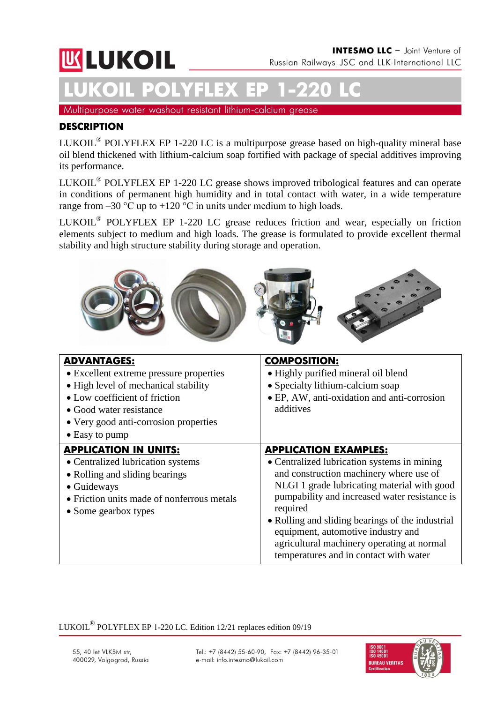# **UK LUKOIL**

# **LUKOIL POLYFLEX ЕР 1-220 LC**

Multipurpose water washout resistant lithium-calcium grease

# **DESCRIPTION**

LUKOIL<sup>®</sup> POLYFLEX EP 1-220 LC is a multipurpose grease based on high-quality mineral base oil blend thickened with lithium-calcium soap fortified with package of special additives improving its performance.

LUKOIL<sup>®</sup> POLYFLEX EP 1-220 LC grease shows improved tribological features and can operate in conditions of permanent high humidity and in total contact with water, in a wide temperature range from  $-30$  °C up to  $+120$  °C in units under medium to high loads.

LUKOIL<sup>®</sup> POLYFLEX EP 1-220 LC grease reduces friction and wear, especially on friction elements subject to medium and high loads. The grease is formulated to provide excellent thermal stability and high structure stability during storage and operation.



| <b>ADVANTAGES:</b><br>• Excellent extreme pressure properties<br>• High level of mechanical stability<br>• Low coefficient of friction<br>• Good water resistance<br>• Very good anti-corrosion properties<br>$\bullet$ Easy to pump | <b>COMPOSITION:</b><br>· Highly purified mineral oil blend<br>• Specialty lithium-calcium soap<br>• EP, AW, anti-oxidation and anti-corrosion<br>additives                                                                                                                                                                                                                                                           |
|--------------------------------------------------------------------------------------------------------------------------------------------------------------------------------------------------------------------------------------|----------------------------------------------------------------------------------------------------------------------------------------------------------------------------------------------------------------------------------------------------------------------------------------------------------------------------------------------------------------------------------------------------------------------|
| <b>APPLICATION IN UNITS:</b><br>• Centralized lubrication systems<br>• Rolling and sliding bearings<br>• Guideways<br>• Friction units made of nonferrous metals<br>• Some gearbox types                                             | <b>APPLICATION EXAMPLES:</b><br>• Centralized lubrication systems in mining<br>and construction machinery where use of<br>NLGI 1 grade lubricating material with good<br>pumpability and increased water resistance is<br>required<br>• Rolling and sliding bearings of the industrial<br>equipment, automotive industry and<br>agricultural machinery operating at normal<br>temperatures and in contact with water |

LUKOIL $^{\circledR}$  POLYFLEX EP 1-220 LC. Edition 12/21 replaces edition 09/19